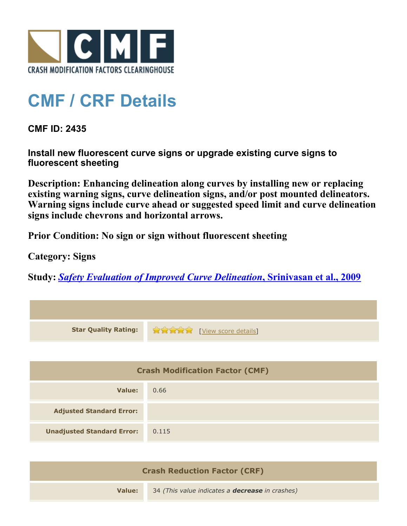

## **CMF / CRF Details**

**CMF ID: 2435**

**Install new fluorescent curve signs or upgrade existing curve signs to fluorescent sheeting**

**Description: Enhancing delineation along curves by installing new or replacing existing warning signs, curve delineation signs, and/or post mounted delineators. Warning signs include curve ahead or suggested speed limit and curve delineation signs include chevrons and horizontal arrows.**

**Prior Condition: No sign or sign without fluorescent sheeting**

**Category: Signs**

**Study:** *[Safety Evaluation of Improved Curve Delineation](http://www.cmfclearinghouse.org/study_detail.cfm?stid=160)***[, Srinivasan et al., 2009](http://www.cmfclearinghouse.org/study_detail.cfm?stid=160)**

| <b>Star Quality Rating:</b>            | <b>THE EXAMPLE THE EXAMPLE TO THE EXAMPLE OF STATISTIC</b> |
|----------------------------------------|------------------------------------------------------------|
|                                        |                                                            |
|                                        |                                                            |
| <b>Crash Modification Factor (CMF)</b> |                                                            |
| Value:                                 | 0.66                                                       |
| <b>Adjusted Standard Error:</b>        |                                                            |
| <b>Unadjusted Standard Error:</b>      | 0.115                                                      |
|                                        |                                                            |

| <b>Crash Reduction Factor (CRF)</b> |                                                        |
|-------------------------------------|--------------------------------------------------------|
| Value: I                            | 34 (This value indicates a <b>decrease</b> in crashes) |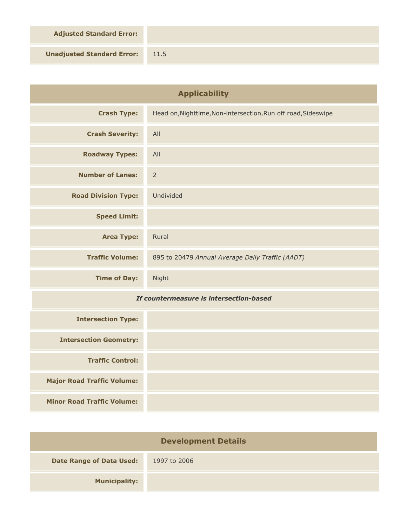**Adjusted Standard Error:**

**Unadjusted Standard Error:** 11.5

| <b>Applicability</b>                    |                                                               |
|-----------------------------------------|---------------------------------------------------------------|
| <b>Crash Type:</b>                      | Head on, Nighttime, Non-intersection, Run off road, Sideswipe |
| <b>Crash Severity:</b>                  | All                                                           |
| <b>Roadway Types:</b>                   | All                                                           |
| <b>Number of Lanes:</b>                 | $\overline{2}$                                                |
| <b>Road Division Type:</b>              | Undivided                                                     |
| <b>Speed Limit:</b>                     |                                                               |
| <b>Area Type:</b>                       | Rural                                                         |
| <b>Traffic Volume:</b>                  | 895 to 20479 Annual Average Daily Traffic (AADT)              |
| <b>Time of Day:</b>                     | Night                                                         |
| If countermeasure is intersection-based |                                                               |
| アルト・ショー ふじょう アイ                         |                                                               |

| <b>Intersection Type:</b>         |  |
|-----------------------------------|--|
| <b>Intersection Geometry:</b>     |  |
| <b>Traffic Control:</b>           |  |
| <b>Major Road Traffic Volume:</b> |  |
| <b>Minor Road Traffic Volume:</b> |  |

| <b>Development Details</b>      |              |
|---------------------------------|--------------|
| <b>Date Range of Data Used:</b> | 1997 to 2006 |
| <b>Municipality:</b>            |              |